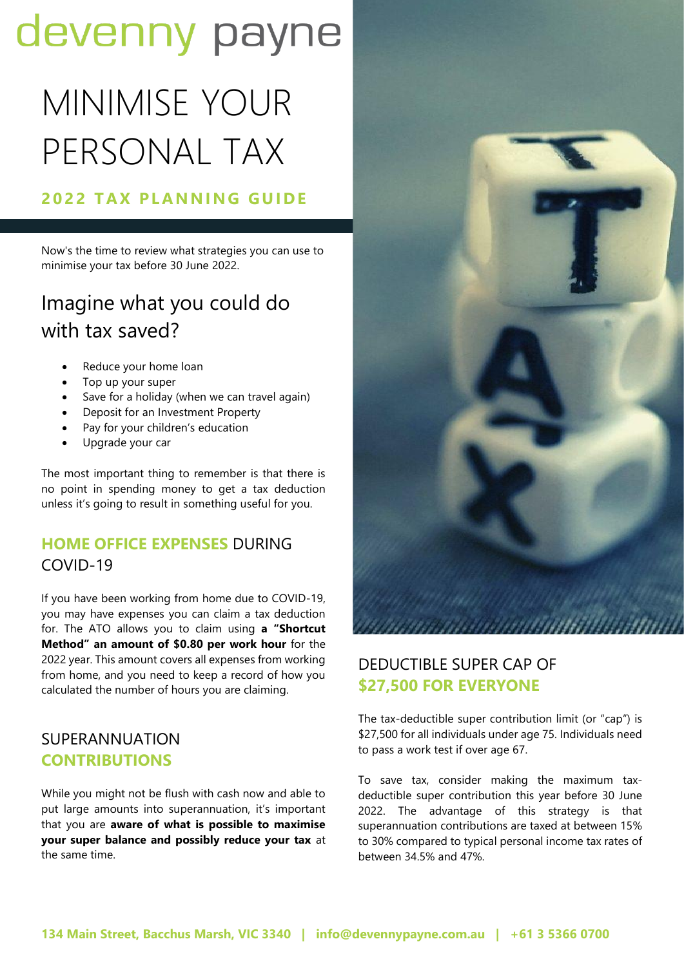# devenny payne

# MINIMISE YOUR PERSONAL TAX

# **2022 TAX PLANNING GUIDE**

Now's the time to review what strategies you can use to minimise your tax before 30 June 2022.

# Imagine what you could do with tax saved?

- Reduce your home loan
- Top up your super
- Save for a holiday (when we can travel again)
- Deposit for an Investment Property
- Pay for your children's education
- Upgrade your car

The most important thing to remember is that there is no point in spending money to get a tax deduction unless it's going to result in something useful for you.

## **HOME OFFICE EXPENSES** DURING COVID-19

If you have been working from home due to COVID-19, you may have expenses you can claim a tax deduction for. The ATO allows you to claim using **a "Shortcut Method" an amount of \$0.80 per work hour** for the 2022 year. This amount covers all expenses from working from home, and you need to keep a record of how you calculated the number of hours you are claiming.

## SUPERANNUATION **CONTRIBUTIONS**

While you might not be flush with cash now and able to put large amounts into superannuation, it's important that you are **aware of what is possible to maximise your super balance and possibly reduce your tax** at the same time.



## DEDUCTIBLE SUPER CAP OF **\$27,500 FOR EVERYONE**

The tax-deductible super contribution limit (or "cap") is \$27,500 for all individuals under age 75. Individuals need to pass a work test if over age 67.

To save tax, consider making the maximum taxdeductible super contribution this year before 30 June 2022. The advantage of this strategy is that superannuation contributions are taxed at between 15% to 30% compared to typical personal income tax rates of between 34.5% and 47%.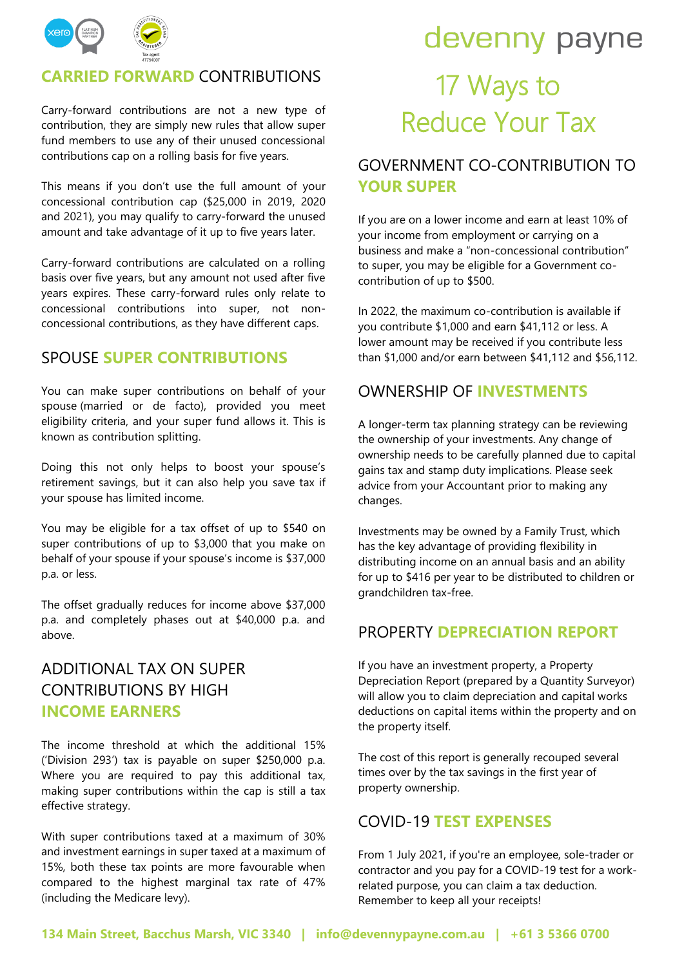

#### **CARRIED FORWARD** CONTRIBUTIONS

Carry-forward contributions are not a new type of contribution, they are simply new rules that allow super fund members to use any of their unused concessional contributions cap on a rolling basis for five years.

This means if you don't use the full amount of your concessional contribution cap (\$25,000 in 2019, 2020 and 2021), you may qualify to carry-forward the unused amount and take advantage of it up to five years later.

Carry-forward contributions are calculated on a rolling basis over five years, but any amount not used after five years expires. These carry-forward rules only relate to concessional contributions into super, not nonconcessional contributions, as they have different caps.

#### SPOUSE **SUPER CONTRIBUTIONS**

You can make super contributions on behalf of your spouse (married or de facto), provided you meet eligibility criteria, and your super fund allows it. This is known as contribution splitting.

Doing this not only helps to boost your spouse's retirement savings, but it can also help you save tax if your spouse has limited income.

You may be eligible for a tax offset of up to \$540 on super contributions of up to \$3,000 that you make on behalf of your spouse if your spouse's income is \$37,000 p.a. or less.

The offset gradually reduces for income above \$37,000 p.a. and completely phases out at \$40,000 p.a. and above.

### ADDITIONAL TAX ON SUPER CONTRIBUTIONS BY HIGH **INCOME EARNERS**

The income threshold at which the additional 15% ('Division 293') tax is payable on super \$250,000 p.a. Where you are required to pay this additional tax, making super contributions within the cap is still a tax effective strategy.

With super contributions taxed at a maximum of 30% and investment earnings in super taxed at a maximum of 15%, both these tax points are more favourable when compared to the highest marginal tax rate of 47% (including the Medicare levy).

# devenny payne 17 Ways to Reduce Your Tax

### GOVERNMENT CO-CONTRIBUTION TO **YOUR SUPER**

If you are on a lower income and earn at least 10% of your income from employment or carrying on a business and make a "non-concessional contribution" to super, you may be eligible for a Government cocontribution of up to \$500.

In 2022, the maximum co-contribution is available if you contribute \$1,000 and earn \$41,112 or less. A lower amount may be received if you contribute less than \$1,000 and/or earn between \$41,112 and \$56,112.

#### OWNERSHIP OF **INVESTMENTS**

A longer-term tax planning strategy can be reviewing the ownership of your investments. Any change of ownership needs to be carefully planned due to capital gains tax and stamp duty implications. Please seek advice from your Accountant prior to making any changes.

Investments may be owned by a Family Trust, which has the key advantage of providing flexibility in distributing income on an annual basis and an ability for up to \$416 per year to be distributed to children or grandchildren tax-free.

#### PROPERTY **DEPRECIATION REPORT**

If you have an investment property, a Property Depreciation Report (prepared by a Quantity Surveyor) will allow you to claim depreciation and capital works deductions on capital items within the property and on the property itself.

The cost of this report is generally recouped several times over by the tax savings in the first year of property ownership.

#### COVID-19 **TEST EXPENSES**

From 1 July 2021, if you're an employee, sole-trader or contractor and you pay for a COVID-19 test for a workrelated purpose, you can claim a tax deduction. Remember to keep all your receipts!